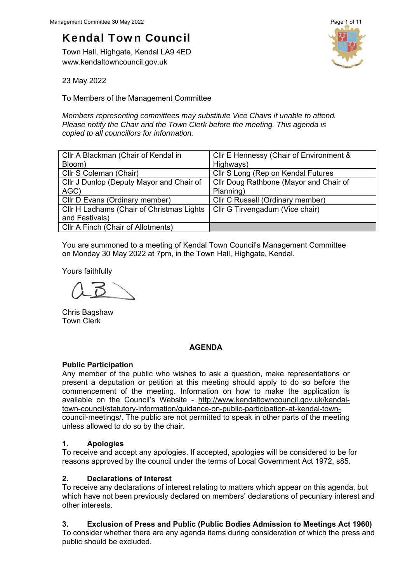# Kendal Town Council

Town Hall, Highgate, Kendal LA9 4ED www.kendaltowncouncil.gov.uk



23 May 2022

To Members of the Management Committee

*Members representing committees may substitute Vice Chairs if unable to attend. Please notify the Chair and the Town Clerk before the meeting. This agenda is copied to all councillors for information.* 

| Cllr A Blackman (Chair of Kendal in       | Cllr E Hennessy (Chair of Environment & |
|-------------------------------------------|-----------------------------------------|
| Bloom)                                    | Highways)                               |
| Cllr S Coleman (Chair)                    | Cllr S Long (Rep on Kendal Futures      |
| Cllr J Dunlop (Deputy Mayor and Chair of  | Cllr Doug Rathbone (Mayor and Chair of  |
| AGC)                                      | Planning)                               |
| Cllr D Evans (Ordinary member)            | Cllr C Russell (Ordinary member)        |
| Cllr H Ladhams (Chair of Christmas Lights | Cllr G Tirvengadum (Vice chair)         |
| and Festivals)                            |                                         |
| Cllr A Finch (Chair of Allotments)        |                                         |

You are summoned to a meeting of Kendal Town Council's Management Committee on Monday 30 May 2022 at 7pm, in the Town Hall, Highgate, Kendal.

Yours faithfully

Chris Bagshaw Town Clerk

## **AGENDA**

# **Public Participation**

Any member of the public who wishes to ask a question, make representations or present a deputation or petition at this meeting should apply to do so before the commencement of the meeting. Information on how to make the application is available on the Council's Website - http://www.kendaltowncouncil.gov.uk/kendaltown-council/statutory-information/guidance-on-public-participation-at-kendal-towncouncil-meetings/. The public are not permitted to speak in other parts of the meeting unless allowed to do so by the chair.

# **1. Apologies**

To receive and accept any apologies. If accepted, apologies will be considered to be for reasons approved by the council under the terms of Local Government Act 1972, s85.

# **2. Declarations of Interest**

To receive any declarations of interest relating to matters which appear on this agenda, but which have not been previously declared on members' declarations of pecuniary interest and other interests.

# **3. Exclusion of Press and Public (Public Bodies Admission to Meetings Act 1960)**

To consider whether there are any agenda items during consideration of which the press and public should be excluded.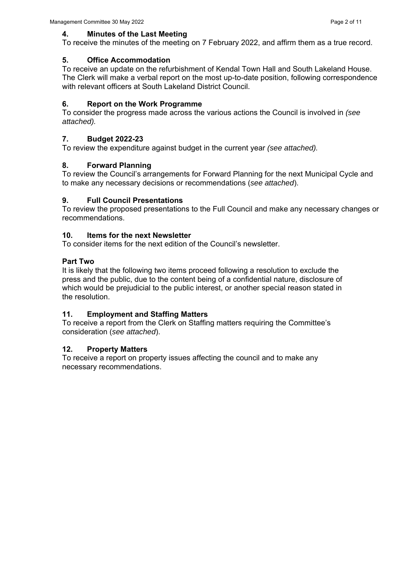To receive the minutes of the meeting on 7 February 2022, and affirm them as a true record.

# **5. Office Accommodation**

To receive an update on the refurbishment of Kendal Town Hall and South Lakeland House. The Clerk will make a verbal report on the most up-to-date position, following correspondence with relevant officers at South Lakeland District Council.

# **6. Report on the Work Programme**

To consider the progress made across the various actions the Council is involved in *(see attached).* 

# **7. Budget 2022-23**

To review the expenditure against budget in the current year *(see attached).* 

# **8. Forward Planning**

To review the Council's arrangements for Forward Planning for the next Municipal Cycle and to make any necessary decisions or recommendations (*see attached*).

# **9. Full Council Presentations**

To review the proposed presentations to the Full Council and make any necessary changes or recommendations.

# **10. Items for the next Newsletter**

To consider items for the next edition of the Council's newsletter.

# **Part Two**

It is likely that the following two items proceed following a resolution to exclude the press and the public, due to the content being of a confidential nature, disclosure of which would be prejudicial to the public interest, or another special reason stated in the resolution.

# **11. Employment and Staffing Matters**

To receive a report from the Clerk on Staffing matters requiring the Committee's consideration (*see attached*).

# **12. Property Matters**

To receive a report on property issues affecting the council and to make any necessary recommendations.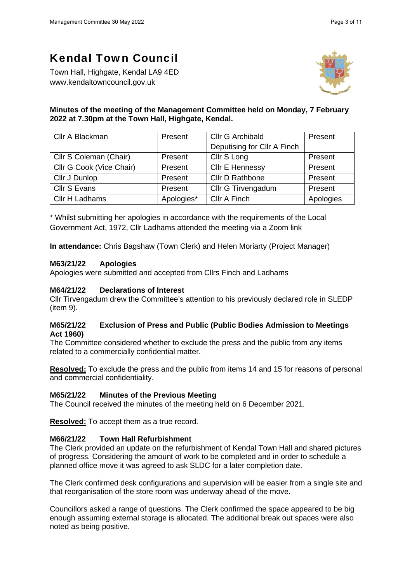# Kendal Town Council

Town Hall, Highgate, Kendal LA9 4ED www.kendaltowncouncil.gov.uk



# **Minutes of the meeting of the Management Committee held on Monday, 7 February 2022 at 7.30pm at the Town Hall, Highgate, Kendal.**

| Cllr A Blackman          | Present                     | Cllr G Archibald       | Present   |
|--------------------------|-----------------------------|------------------------|-----------|
|                          | Deputising for Cllr A Finch |                        |           |
| Cllr S Coleman (Chair)   | Present                     | Cllr S Long            | Present   |
| Cllr G Cook (Vice Chair) | Present                     | <b>Cllr E Hennessy</b> | Present   |
| Cllr J Dunlop            | Present                     | Cllr D Rathbone        | Present   |
| Cllr S Evans             | Present                     | Cllr G Tirvengadum     | Present   |
| Cllr H Ladhams           | Apologies*                  | Cllr A Finch           | Apologies |

\* Whilst submitting her apologies in accordance with the requirements of the Local Government Act, 1972, Cllr Ladhams attended the meeting via a Zoom link

**In attendance:** Chris Bagshaw (Town Clerk) and Helen Moriarty (Project Manager)

## **M63/21/22 Apologies**

Apologies were submitted and accepted from Cllrs Finch and Ladhams

## **M64/21/22 Declarations of Interest**

Cllr Tirvengadum drew the Committee's attention to his previously declared role in SLEDP (item 9).

## **M65/21/22 Exclusion of Press and Public (Public Bodies Admission to Meetings Act 1960)**

The Committee considered whether to exclude the press and the public from any items related to a commercially confidential matter.

**Resolved:** To exclude the press and the public from items 14 and 15 for reasons of personal and commercial confidentiality.

## **M65/21/22 Minutes of the Previous Meeting**

The Council received the minutes of the meeting held on 6 December 2021.

**Resolved:** To accept them as a true record.

# **M66/21/22 Town Hall Refurbishment**

The Clerk provided an update on the refurbishment of Kendal Town Hall and shared pictures of progress. Considering the amount of work to be completed and in order to schedule a planned office move it was agreed to ask SLDC for a later completion date.

The Clerk confirmed desk configurations and supervision will be easier from a single site and that reorganisation of the store room was underway ahead of the move.

Councillors asked a range of questions. The Clerk confirmed the space appeared to be big enough assuming external storage is allocated. The additional break out spaces were also noted as being positive.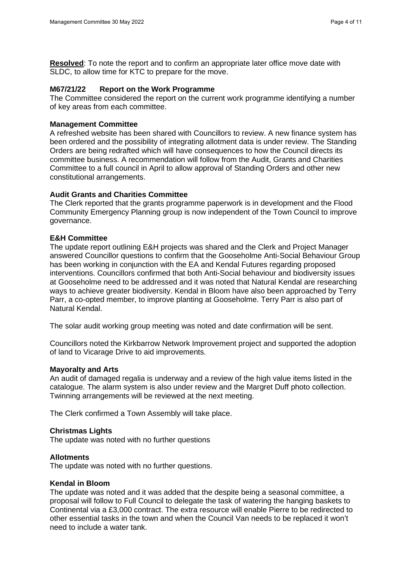**Resolved**: To note the report and to confirm an appropriate later office move date with SLDC, to allow time for KTC to prepare for the move.

#### **M67/21/22 Report on the Work Programme**

The Committee considered the report on the current work programme identifying a number of key areas from each committee.

#### **Management Committee**

A refreshed website has been shared with Councillors to review. A new finance system has been ordered and the possibility of integrating allotment data is under review. The Standing Orders are being redrafted which will have consequences to how the Council directs its committee business. A recommendation will follow from the Audit, Grants and Charities Committee to a full council in April to allow approval of Standing Orders and other new constitutional arrangements.

## **Audit Grants and Charities Committee**

The Clerk reported that the grants programme paperwork is in development and the Flood Community Emergency Planning group is now independent of the Town Council to improve governance.

#### **E&H Committee**

The update report outlining E&H projects was shared and the Clerk and Project Manager answered Councillor questions to confirm that the Gooseholme Anti-Social Behaviour Group has been working in conjunction with the EA and Kendal Futures regarding proposed interventions. Councillors confirmed that both Anti-Social behaviour and biodiversity issues at Gooseholme need to be addressed and it was noted that Natural Kendal are researching ways to achieve greater biodiversity. Kendal in Bloom have also been approached by Terry Parr, a co-opted member, to improve planting at Gooseholme. Terry Parr is also part of Natural Kendal.

The solar audit working group meeting was noted and date confirmation will be sent.

Councillors noted the Kirkbarrow Network Improvement project and supported the adoption of land to Vicarage Drive to aid improvements.

#### **Mayoralty and Arts**

An audit of damaged regalia is underway and a review of the high value items listed in the catalogue. The alarm system is also under review and the Margret Duff photo collection. Twinning arrangements will be reviewed at the next meeting.

The Clerk confirmed a Town Assembly will take place.

#### **Christmas Lights**

The update was noted with no further questions

#### **Allotments**

The update was noted with no further questions.

## **Kendal in Bloom**

The update was noted and it was added that the despite being a seasonal committee, a proposal will follow to Full Council to delegate the task of watering the hanging baskets to Continental via a £3,000 contract. The extra resource will enable Pierre to be redirected to other essential tasks in the town and when the Council Van needs to be replaced it won't need to include a water tank.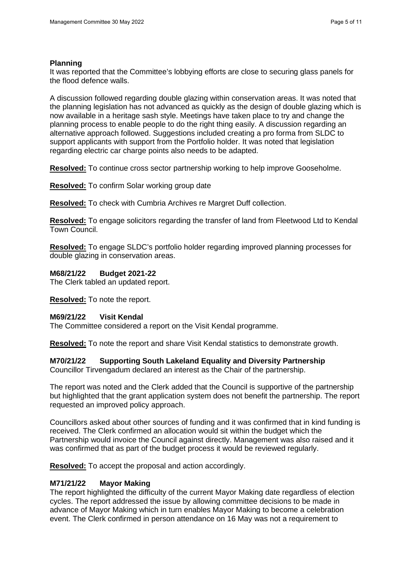## **Planning**

It was reported that the Committee's lobbying efforts are close to securing glass panels for the flood defence walls.

A discussion followed regarding double glazing within conservation areas. It was noted that the planning legislation has not advanced as quickly as the design of double glazing which is now available in a heritage sash style. Meetings have taken place to try and change the planning process to enable people to do the right thing easily. A discussion regarding an alternative approach followed. Suggestions included creating a pro forma from SLDC to support applicants with support from the Portfolio holder. It was noted that legislation regarding electric car charge points also needs to be adapted.

**Resolved:** To continue cross sector partnership working to help improve Gooseholme.

**Resolved:** To confirm Solar working group date

**Resolved:** To check with Cumbria Archives re Margret Duff collection.

**Resolved:** To engage solicitors regarding the transfer of land from Fleetwood Ltd to Kendal Town Council.

**Resolved:** To engage SLDC's portfolio holder regarding improved planning processes for double glazing in conservation areas.

## **M68/21/22 Budget 2021-22**

The Clerk tabled an updated report.

**Resolved:** To note the report.

## **M69/21/22 Visit Kendal**

The Committee considered a report on the Visit Kendal programme.

**Resolved:** To note the report and share Visit Kendal statistics to demonstrate growth.

# **M70/21/22 Supporting South Lakeland Equality and Diversity Partnership**

Councillor Tirvengadum declared an interest as the Chair of the partnership.

The report was noted and the Clerk added that the Council is supportive of the partnership but highlighted that the grant application system does not benefit the partnership. The report requested an improved policy approach.

Councillors asked about other sources of funding and it was confirmed that in kind funding is received. The Clerk confirmed an allocation would sit within the budget which the Partnership would invoice the Council against directly. Management was also raised and it was confirmed that as part of the budget process it would be reviewed regularly.

**Resolved:** To accept the proposal and action accordingly.

## **M71/21/22 Mayor Making**

The report highlighted the difficulty of the current Mayor Making date regardless of election cycles. The report addressed the issue by allowing committee decisions to be made in advance of Mayor Making which in turn enables Mayor Making to become a celebration event. The Clerk confirmed in person attendance on 16 May was not a requirement to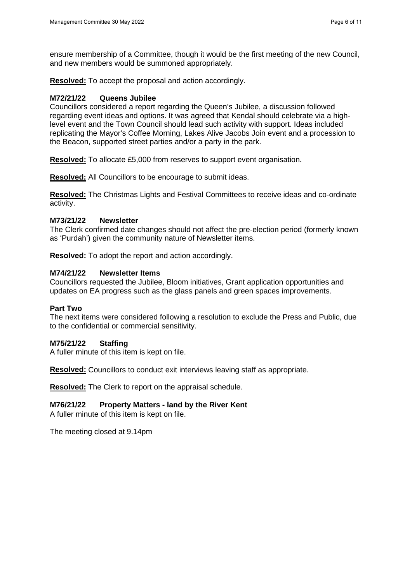ensure membership of a Committee, though it would be the first meeting of the new Council, and new members would be summoned appropriately.

**Resolved:** To accept the proposal and action accordingly.

## **M72/21/22 Queens Jubilee**

Councillors considered a report regarding the Queen's Jubilee, a discussion followed regarding event ideas and options. It was agreed that Kendal should celebrate via a highlevel event and the Town Council should lead such activity with support. Ideas included replicating the Mayor's Coffee Morning, Lakes Alive Jacobs Join event and a procession to the Beacon, supported street parties and/or a party in the park.

**Resolved:** To allocate £5,000 from reserves to support event organisation.

**Resolved:** All Councillors to be encourage to submit ideas.

**Resolved:** The Christmas Lights and Festival Committees to receive ideas and co-ordinate activity.

## **M73/21/22 Newsletter**

The Clerk confirmed date changes should not affect the pre-election period (formerly known as 'Purdah') given the community nature of Newsletter items.

**Resolved:** To adopt the report and action accordingly.

## **M74/21/22 Newsletter Items**

Councillors requested the Jubilee, Bloom initiatives, Grant application opportunities and updates on EA progress such as the glass panels and green spaces improvements.

## **Part Two**

The next items were considered following a resolution to exclude the Press and Public, due to the confidential or commercial sensitivity.

## **M75/21/22 Staffing**

A fuller minute of this item is kept on file.

**Resolved:** Councillors to conduct exit interviews leaving staff as appropriate.

**Resolved:** The Clerk to report on the appraisal schedule.

# **M76/21/22 Property Matters - land by the River Kent**

A fuller minute of this item is kept on file.

The meeting closed at 9.14pm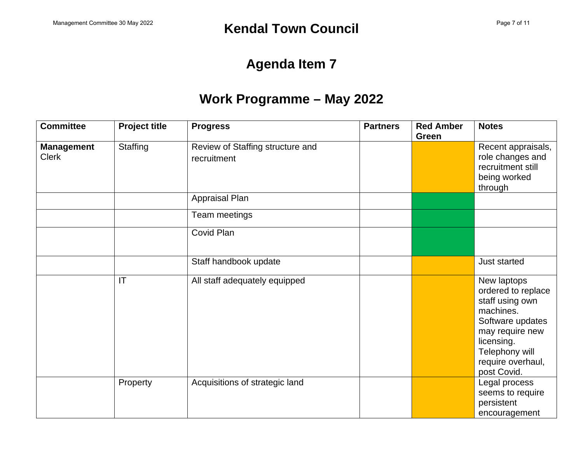# **Agenda Item 7**

# **Work Programme – May 2022**

| <b>Committee</b>                  | <b>Project title</b> | <b>Progress</b>                                 | <b>Partners</b> | <b>Red Amber</b><br>Green | <b>Notes</b>                                                                                                                                                                 |
|-----------------------------------|----------------------|-------------------------------------------------|-----------------|---------------------------|------------------------------------------------------------------------------------------------------------------------------------------------------------------------------|
| <b>Management</b><br><b>Clerk</b> | Staffing             | Review of Staffing structure and<br>recruitment |                 |                           | Recent appraisals,<br>role changes and<br>recruitment still<br>being worked<br>through                                                                                       |
|                                   |                      | Appraisal Plan                                  |                 |                           |                                                                                                                                                                              |
|                                   |                      | Team meetings                                   |                 |                           |                                                                                                                                                                              |
|                                   |                      | Covid Plan                                      |                 |                           |                                                                                                                                                                              |
|                                   |                      | Staff handbook update                           |                 |                           | Just started                                                                                                                                                                 |
|                                   | IT                   | All staff adequately equipped                   |                 |                           | New laptops<br>ordered to replace<br>staff using own<br>machines.<br>Software updates<br>may require new<br>licensing.<br>Telephony will<br>require overhaul,<br>post Covid. |
|                                   | Property             | Acquisitions of strategic land                  |                 |                           | Legal process<br>seems to require<br>persistent<br>encouragement                                                                                                             |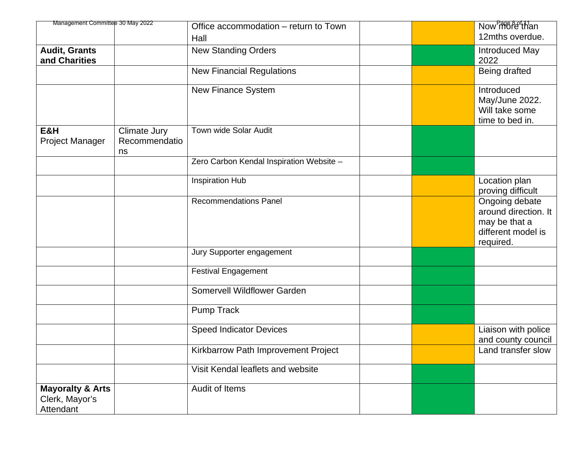| Management Committee 30 May 2022                           |                                     | Office accommodation - return to Town    |  | Now more of than                                                                           |
|------------------------------------------------------------|-------------------------------------|------------------------------------------|--|--------------------------------------------------------------------------------------------|
|                                                            |                                     | Hall                                     |  | 12mths overdue.                                                                            |
| <b>Audit, Grants</b><br>and Charities                      |                                     | <b>New Standing Orders</b>               |  | Introduced May<br>2022                                                                     |
|                                                            |                                     | <b>New Financial Regulations</b>         |  | Being drafted                                                                              |
|                                                            |                                     | New Finance System                       |  | Introduced<br>May/June 2022.<br>Will take some<br>time to bed in.                          |
| E&H<br><b>Project Manager</b>                              | Climate Jury<br>Recommendatio<br>ns | Town wide Solar Audit                    |  |                                                                                            |
|                                                            |                                     | Zero Carbon Kendal Inspiration Website - |  |                                                                                            |
|                                                            |                                     | <b>Inspiration Hub</b>                   |  | Location plan<br>proving difficult                                                         |
|                                                            |                                     | <b>Recommendations Panel</b>             |  | Ongoing debate<br>around direction. It<br>may be that a<br>different model is<br>required. |
|                                                            |                                     | Jury Supporter engagement                |  |                                                                                            |
|                                                            |                                     | <b>Festival Engagement</b>               |  |                                                                                            |
|                                                            |                                     | <b>Somervell Wildflower Garden</b>       |  |                                                                                            |
|                                                            |                                     | <b>Pump Track</b>                        |  |                                                                                            |
|                                                            |                                     | <b>Speed Indicator Devices</b>           |  | Liaison with police<br>and county council                                                  |
|                                                            |                                     | Kirkbarrow Path Improvement Project      |  | Land transfer slow                                                                         |
|                                                            |                                     | Visit Kendal leaflets and website        |  |                                                                                            |
| <b>Mayoralty &amp; Arts</b><br>Clerk, Mayor's<br>Attendant |                                     | Audit of Items                           |  |                                                                                            |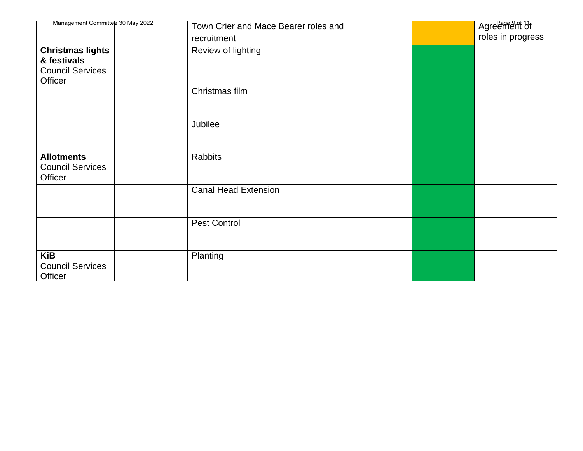| Management Committee 30 May 2022                        | Town Crier and Mace Bearer roles and |  | Agreement of      |
|---------------------------------------------------------|--------------------------------------|--|-------------------|
|                                                         | recruitment                          |  | roles in progress |
| <b>Christmas lights</b>                                 | Review of lighting                   |  |                   |
| & festivals                                             |                                      |  |                   |
| <b>Council Services</b>                                 |                                      |  |                   |
| Officer                                                 | Christmas film                       |  |                   |
|                                                         |                                      |  |                   |
|                                                         |                                      |  |                   |
|                                                         | Jubilee                              |  |                   |
|                                                         |                                      |  |                   |
| <b>Allotments</b><br><b>Council Services</b><br>Officer | Rabbits                              |  |                   |
|                                                         | <b>Canal Head Extension</b>          |  |                   |
|                                                         | <b>Pest Control</b>                  |  |                   |
| <b>KiB</b><br><b>Council Services</b><br>Officer        | Planting                             |  |                   |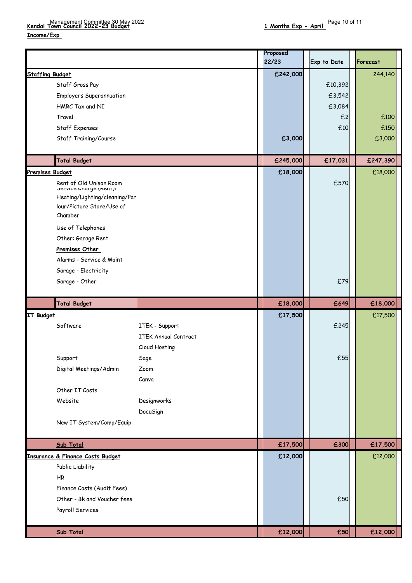**Income/Exp** 

|                        |                                                         |                             | Proposed |             |          |
|------------------------|---------------------------------------------------------|-----------------------------|----------|-------------|----------|
|                        |                                                         |                             | 22/23    | Exp to Date | Forecast |
| <b>Staffing Budget</b> |                                                         |                             | £242,000 |             | 244,140  |
|                        | Staff Gross Pay                                         |                             |          | £10,392     |          |
|                        | <b>Employers Superannuation</b>                         |                             |          | £3,542      |          |
|                        | HMRC Tax and NI                                         |                             |          | £3,084      |          |
|                        | Travel                                                  |                             |          | £2          | £100     |
|                        | Staff Expenses                                          |                             |          | £10         | £150     |
|                        | Staff Training/Course                                   |                             | £3,000   |             | £3,000   |
|                        |                                                         |                             |          |             |          |
|                        | <b>Total Budget</b>                                     |                             | £245,000 | £17,031     | £247,390 |
| <b>Premises Budget</b> |                                                         |                             | £18,000  |             | £18,000  |
|                        | Rent of Old Unison Room                                 |                             |          | £570        |          |
|                        | Jervice Undrye (Kent)/<br>Heating/Lighting/cleaning/Par |                             |          |             |          |
|                        | lour/Picture Store/Use of                               |                             |          |             |          |
|                        | Chamber                                                 |                             |          |             |          |
|                        | Use of Telephones                                       |                             |          |             |          |
|                        | Other: Garage Rent                                      |                             |          |             |          |
|                        | <b>Premises Other</b>                                   |                             |          |             |          |
|                        | Alarms - Service & Maint                                |                             |          |             |          |
|                        | Garage - Electricity                                    |                             |          |             |          |
|                        | Garage - Other                                          |                             |          | £79         |          |
|                        |                                                         |                             |          |             |          |
|                        | <b>Total Budget</b>                                     |                             | £18,000  | £649        | £18,000  |
| <b>IT Budget</b>       |                                                         |                             | £17,500  |             | £17,500  |
|                        | Software                                                | ITEK - Support              |          | £245        |          |
|                        |                                                         | <b>ITEK Annual Contract</b> |          |             |          |
|                        |                                                         | Cloud Hosting               |          |             |          |
|                        | Support                                                 | Sage                        |          | £55         |          |
|                        | Digital Meetings/Admin                                  | Zoom                        |          |             |          |
|                        |                                                         | Canva                       |          |             |          |
|                        | Other IT Costs                                          |                             |          |             |          |
|                        | Website                                                 | Designworks                 |          |             |          |
|                        |                                                         | DocuSign                    |          |             |          |
|                        | New IT System/Comp/Equip                                |                             |          |             |          |
|                        |                                                         |                             |          |             |          |
|                        | Sub Total                                               |                             | £17,500  | £300        | £17,500  |
|                        | Insurance & Finance Costs Budget                        |                             | £12,000  |             | £12,000  |
|                        | Public Liability                                        |                             |          |             |          |
|                        | HR                                                      |                             |          |             |          |
|                        | Finance Costs (Audit Fees)                              |                             |          |             |          |
|                        | Other - Bk and Voucher fees                             |                             |          | £50         |          |
|                        |                                                         |                             |          |             |          |
|                        | Payroll Services                                        |                             |          |             |          |
|                        |                                                         |                             |          |             |          |